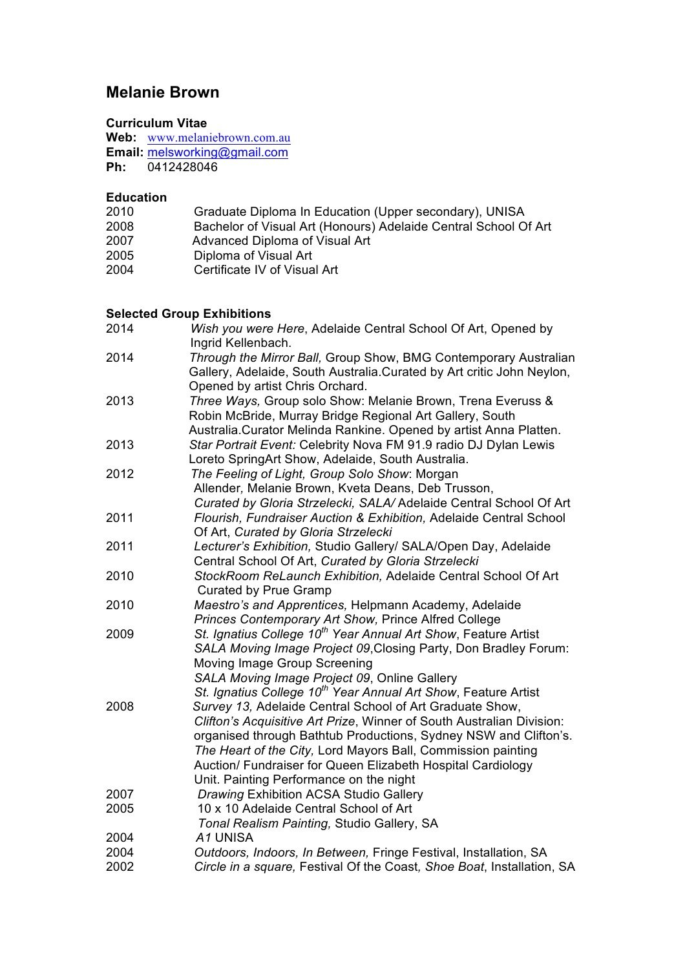# **Melanie Brown**

### **Curriculum Vitae**

Web: www.melaniebrown.com.au **Email:** melsworking@gmail.com **Ph:** 0412428046

#### **Education**

| 2010 | Graduate Diploma In Education (Upper secondary), UNISA          |
|------|-----------------------------------------------------------------|
| 2008 | Bachelor of Visual Art (Honours) Adelaide Central School Of Art |
| 2007 | Advanced Diploma of Visual Art                                  |
| 2005 | Diploma of Visual Art                                           |
| 2004 | Certificate IV of Visual Art                                    |

#### **Selected Group Exhibitions**

| 2014 | Wish you were Here, Adelaide Central School Of Art, Opened by<br>Ingrid Kellenbach.                                                        |
|------|--------------------------------------------------------------------------------------------------------------------------------------------|
| 2014 | Through the Mirror Ball, Group Show, BMG Contemporary Australian<br>Gallery, Adelaide, South Australia. Curated by Art critic John Neylon, |
|      | Opened by artist Chris Orchard.                                                                                                            |
| 2013 | Three Ways, Group solo Show: Melanie Brown, Trena Everuss &                                                                                |
|      | Robin McBride, Murray Bridge Regional Art Gallery, South                                                                                   |
|      | Australia. Curator Melinda Rankine. Opened by artist Anna Platten.                                                                         |
| 2013 | Star Portrait Event: Celebrity Nova FM 91.9 radio DJ Dylan Lewis                                                                           |
| 2012 | Loreto SpringArt Show, Adelaide, South Australia.<br>The Feeling of Light, Group Solo Show: Morgan                                         |
|      | Allender, Melanie Brown, Kveta Deans, Deb Trusson,                                                                                         |
|      | Curated by Gloria Strzelecki, SALA/ Adelaide Central School Of Art                                                                         |
| 2011 | Flourish, Fundraiser Auction & Exhibition, Adelaide Central School                                                                         |
|      | Of Art, Curated by Gloria Strzelecki                                                                                                       |
| 2011 | Lecturer's Exhibition, Studio Gallery/ SALA/Open Day, Adelaide                                                                             |
|      | Central School Of Art, Curated by Gloria Strzelecki                                                                                        |
| 2010 | StockRoom ReLaunch Exhibition, Adelaide Central School Of Art                                                                              |
|      | <b>Curated by Prue Gramp</b>                                                                                                               |
| 2010 | Maestro's and Apprentices, Helpmann Academy, Adelaide                                                                                      |
|      | Princes Contemporary Art Show, Prince Alfred College                                                                                       |
| 2009 | St. Ignatius College 10 <sup>th</sup> Year Annual Art Show, Feature Artist                                                                 |
|      | SALA Moving Image Project 09, Closing Party, Don Bradley Forum:                                                                            |
|      | Moving Image Group Screening                                                                                                               |
|      | SALA Moving Image Project 09, Online Gallery<br>St. Ignatius College 10 <sup>th</sup> Year Annual Art Show, Feature Artist                 |
| 2008 | Survey 13, Adelaide Central School of Art Graduate Show,                                                                                   |
|      | Clifton's Acquisitive Art Prize, Winner of South Australian Division:                                                                      |
|      | organised through Bathtub Productions, Sydney NSW and Clifton's.                                                                           |
|      | The Heart of the City, Lord Mayors Ball, Commission painting                                                                               |
|      | Auction/ Fundraiser for Queen Elizabeth Hospital Cardiology                                                                                |
|      | Unit. Painting Performance on the night                                                                                                    |
| 2007 | <b>Drawing Exhibition ACSA Studio Gallery</b>                                                                                              |
| 2005 | 10 x 10 Adelaide Central School of Art                                                                                                     |
|      | Tonal Realism Painting, Studio Gallery, SA                                                                                                 |
| 2004 | A1 UNISA                                                                                                                                   |
| 2004 | Outdoors, Indoors, In Between, Fringe Festival, Installation, SA                                                                           |
| 2002 | Circle in a square, Festival Of the Coast, Shoe Boat, Installation, SA                                                                     |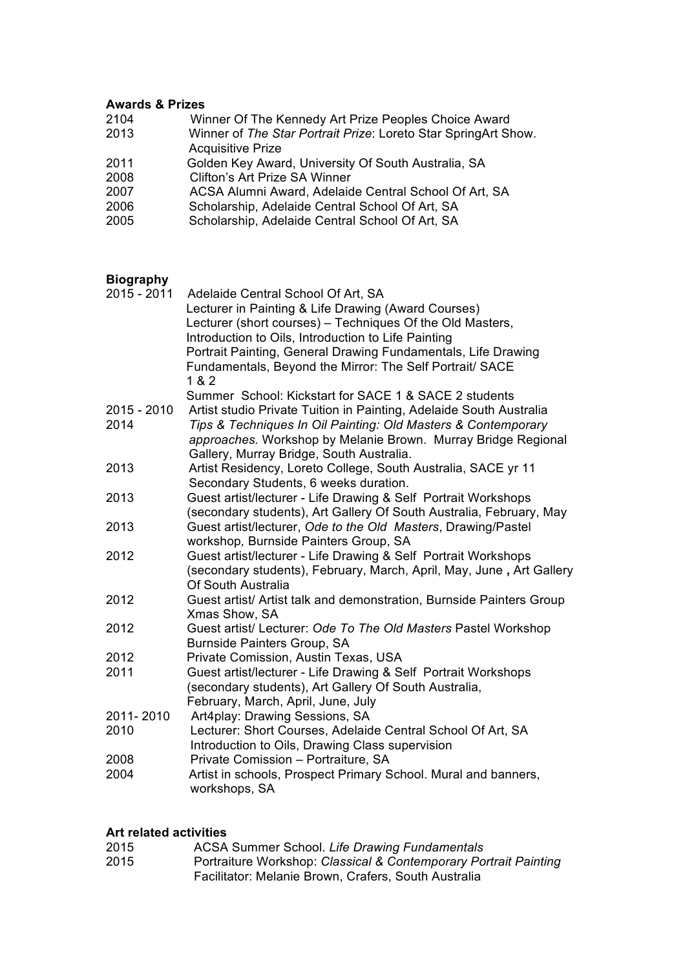#### **Awards & Prizes**

| 2104 | Winner Of The Kennedy Art Prize Peoples Choice Award           |
|------|----------------------------------------------------------------|
| 2013 | Winner of The Star Portrait Prize: Loreto Star SpringArt Show. |
|      | <b>Acquisitive Prize</b>                                       |
| 2011 | Golden Key Award, University Of South Australia, SA            |
| 2008 | Clifton's Art Prize SA Winner                                  |
| 2007 | ACSA Alumni Award, Adelaide Central School Of Art, SA          |
| 2006 | Scholarship, Adelaide Central School Of Art, SA                |
| 2005 | Scholarship, Adelaide Central School Of Art, SA                |
|      |                                                                |

#### **Biography**

| Adelaide Central School Of Art, SA<br>Lecturer in Painting & Life Drawing (Award Courses)<br>Lecturer (short courses) - Techniques Of the Old Masters,<br>Introduction to Oils, Introduction to Life Painting<br>Portrait Painting, General Drawing Fundamentals, Life Drawing<br>Fundamentals, Beyond the Mirror: The Self Portrait/ SACE<br>1 & 2 |
|-----------------------------------------------------------------------------------------------------------------------------------------------------------------------------------------------------------------------------------------------------------------------------------------------------------------------------------------------------|
| Summer School: Kickstart for SACE 1 & SACE 2 students                                                                                                                                                                                                                                                                                               |
| Artist studio Private Tuition in Painting, Adelaide South Australia<br>Tips & Techniques In Oil Painting: Old Masters & Contemporary<br>approaches. Workshop by Melanie Brown. Murray Bridge Regional<br>Gallery, Murray Bridge, South Australia.                                                                                                   |
| Artist Residency, Loreto College, South Australia, SACE yr 11<br>Secondary Students, 6 weeks duration.                                                                                                                                                                                                                                              |
| Guest artist/lecturer - Life Drawing & Self Portrait Workshops<br>(secondary students), Art Gallery Of South Australia, February, May                                                                                                                                                                                                               |
| Guest artist/lecturer, Ode to the Old Masters, Drawing/Pastel<br>workshop, Burnside Painters Group, SA                                                                                                                                                                                                                                              |
| Guest artist/lecturer - Life Drawing & Self Portrait Workshops<br>(secondary students), February, March, April, May, June, Art Gallery<br>Of South Australia                                                                                                                                                                                        |
| Guest artist/ Artist talk and demonstration, Burnside Painters Group<br>Xmas Show, SA                                                                                                                                                                                                                                                               |
| Guest artist/ Lecturer: Ode To The Old Masters Pastel Workshop<br>Burnside Painters Group, SA                                                                                                                                                                                                                                                       |
| Private Comission, Austin Texas, USA                                                                                                                                                                                                                                                                                                                |
| Guest artist/lecturer - Life Drawing & Self Portrait Workshops<br>(secondary students), Art Gallery Of South Australia,<br>February, March, April, June, July                                                                                                                                                                                       |
| Art4play: Drawing Sessions, SA<br>Lecturer: Short Courses, Adelaide Central School Of Art, SA<br>Introduction to Oils, Drawing Class supervision                                                                                                                                                                                                    |
| Private Comission - Portraiture, SA<br>Artist in schools, Prospect Primary School. Mural and banners,<br>workshops, SA                                                                                                                                                                                                                              |
|                                                                                                                                                                                                                                                                                                                                                     |

## **Art related activities**

| 2015 | ACSA Summer School. Life Drawing Fundamentals                    |
|------|------------------------------------------------------------------|
| 2015 | Portraiture Workshop: Classical & Contemporary Portrait Painting |
|      | Facilitator: Melanie Brown, Crafers, South Australia             |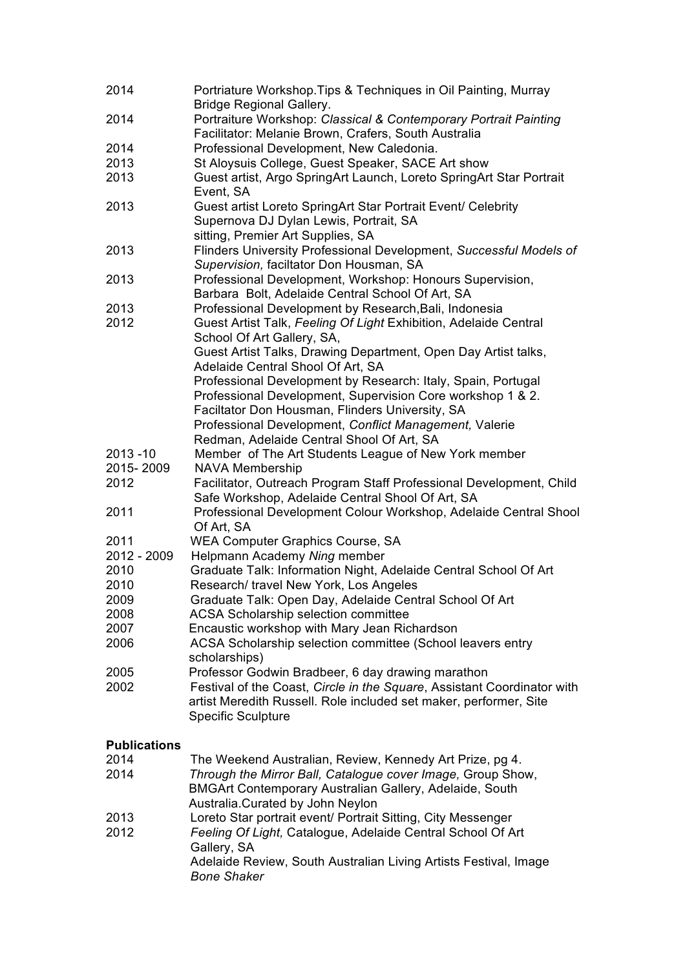| 2014                | Portriature Workshop. Tips & Techniques in Oil Painting, Murray                  |
|---------------------|----------------------------------------------------------------------------------|
|                     | <b>Bridge Regional Gallery.</b>                                                  |
| 2014                | Portraiture Workshop: Classical & Contemporary Portrait Painting                 |
|                     | Facilitator: Melanie Brown, Crafers, South Australia                             |
| 2014                | Professional Development, New Caledonia.                                         |
| 2013                | St Aloysuis College, Guest Speaker, SACE Art show                                |
| 2013                | Guest artist, Argo SpringArt Launch, Loreto SpringArt Star Portrait<br>Event, SA |
| 2013                | Guest artist Loreto SpringArt Star Portrait Event/ Celebrity                     |
|                     | Supernova DJ Dylan Lewis, Portrait, SA                                           |
|                     | sitting, Premier Art Supplies, SA                                                |
| 2013                | Flinders University Professional Development, Successful Models of               |
|                     | Supervision, faciltator Don Housman, SA                                          |
| 2013                | Professional Development, Workshop: Honours Supervision,                         |
|                     | Barbara Bolt, Adelaide Central School Of Art, SA                                 |
| 2013                | Professional Development by Research, Bali, Indonesia                            |
| 2012                | Guest Artist Talk, Feeling Of Light Exhibition, Adelaide Central                 |
|                     | School Of Art Gallery, SA,                                                       |
|                     | Guest Artist Talks, Drawing Department, Open Day Artist talks,                   |
|                     | Adelaide Central Shool Of Art, SA                                                |
|                     | Professional Development by Research: Italy, Spain, Portugal                     |
|                     | Professional Development, Supervision Core workshop 1 & 2.                       |
|                     | Faciltator Don Housman, Flinders University, SA                                  |
|                     | Professional Development, Conflict Management, Valerie                           |
|                     | Redman, Adelaide Central Shool Of Art, SA                                        |
| 2013 - 10           | Member of The Art Students League of New York member                             |
| 2015-2009           | <b>NAVA Membership</b>                                                           |
| 2012                | Facilitator, Outreach Program Staff Professional Development, Child              |
|                     | Safe Workshop, Adelaide Central Shool Of Art, SA                                 |
| 2011                | Professional Development Colour Workshop, Adelaide Central Shool                 |
| 2011                | Of Art, SA<br>WEA Computer Graphics Course, SA                                   |
| 2012 - 2009         | Helpmann Academy Ning member                                                     |
| 2010                | Graduate Talk: Information Night, Adelaide Central School Of Art                 |
| 2010                | Research/ travel New York, Los Angeles                                           |
| 2009                | Graduate Talk: Open Day, Adelaide Central School Of Art                          |
| 2008                | ACSA Scholarship selection committee                                             |
| 2007                | Encaustic workshop with Mary Jean Richardson                                     |
| 2006                | ACSA Scholarship selection committee (School leavers entry                       |
|                     | scholarships)                                                                    |
| 2005                | Professor Godwin Bradbeer, 6 day drawing marathon                                |
| 2002                | Festival of the Coast, Circle in the Square, Assistant Coordinator with          |
|                     | artist Meredith Russell. Role included set maker, performer, Site                |
|                     | <b>Specific Sculpture</b>                                                        |
|                     |                                                                                  |
| <b>Publications</b> |                                                                                  |
| 2014                | The Weekend Australian, Review, Kennedy Art Prize, pg 4.                         |
| 2014                | Through the Mirror Ball, Catalogue cover Image, Group Show,                      |
|                     | BMGArt Contemporary Australian Gallery, Adelaide, South                          |
|                     | Australia. Curated by John Neylon                                                |
| 2013                | Loreto Star portrait event/ Portrait Sitting, City Messenger                     |
| 2012                | Feeling Of Light, Catalogue, Adelaide Central School Of Art                      |
|                     | Gallery, SA                                                                      |
|                     | Adelaide Review, South Australian Living Artists Festival, Image                 |
|                     | <b>Bone Shaker</b>                                                               |